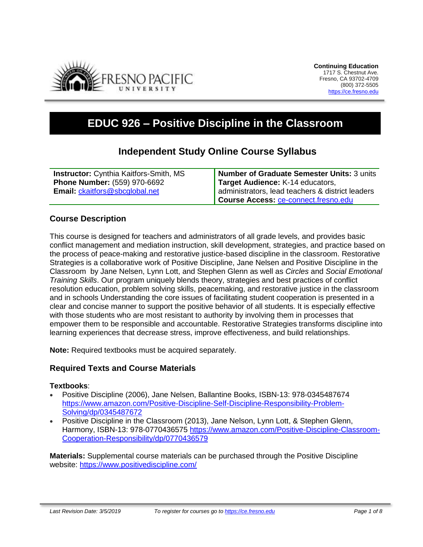

# **EDUC 926 – Positive Discipline in the Classroom**

## **Independent Study Online Course Syllabus**

| <b>Instructor:</b> Cynthia Kaitfors-Smith, MS | Number of Graduate Semester Units: 3 units       |
|-----------------------------------------------|--------------------------------------------------|
| <b>Phone Number: (559) 970-6692</b>           | Target Audience: K-14 educators,                 |
| <b>Email: ckaitfors@sbcglobal.net</b>         | administrators, lead teachers & district leaders |
|                                               | Course Access: ce-connect.fresno.edu             |

#### **Course Description**

This course is designed for teachers and administrators of all grade levels, and provides basic conflict management and mediation instruction, skill development, strategies, and practice based on the process of peace-making and restorative justice-based discipline in the classroom. Restorative Strategies is a collaborative work of Positive Discipline, Jane Nelsen and Positive Discipline in the Classroom by Jane Nelsen, Lynn Lott, and Stephen Glenn as well as *Circles* and *Social Emotional Training Skills*. Our program uniquely blends theory, strategies and best practices of conflict resolution education, problem solving skills, peacemaking, and restorative justice in the classroom and in schools Understanding the core issues of facilitating student cooperation is presented in a clear and concise manner to support the positive behavior of all students. It is especially effective with those students who are most resistant to authority by involving them in processes that empower them to be responsible and accountable. Restorative Strategies transforms discipline into learning experiences that decrease stress, improve effectiveness, and build relationships.

**Note:** Required textbooks must be acquired separately.

#### **Required Texts and Course Materials**

#### **Textbooks**:

- Positive Discipline (2006), Jane Nelsen, Ballantine Books, ISBN-13: 978-0345487674 [https://www.amazon.com/Positive-Discipline-Self-Discipline-Responsibility-Problem-](https://www.amazon.com/Positive-Discipline-Self-Discipline-Responsibility-Problem-Solving/dp/0345487672)[Solving/dp/0345487672](https://www.amazon.com/Positive-Discipline-Self-Discipline-Responsibility-Problem-Solving/dp/0345487672)
- Positive Discipline in the Classroom (2013), Jane Nelson, Lynn Lott, & Stephen Glenn, Harmony, ISBN-13: 978-0770436575 [https://www.amazon.com/Positive-Discipline-Classroom-](https://www.amazon.com/Positive-Discipline-Classroom-Cooperation-Responsibility/dp/0770436579)[Cooperation-Responsibility/dp/0770436579](https://www.amazon.com/Positive-Discipline-Classroom-Cooperation-Responsibility/dp/0770436579)

**Materials:** Supplemental course materials can be purchased through the Positive Discipline website:<https://www.positivediscipline.com/>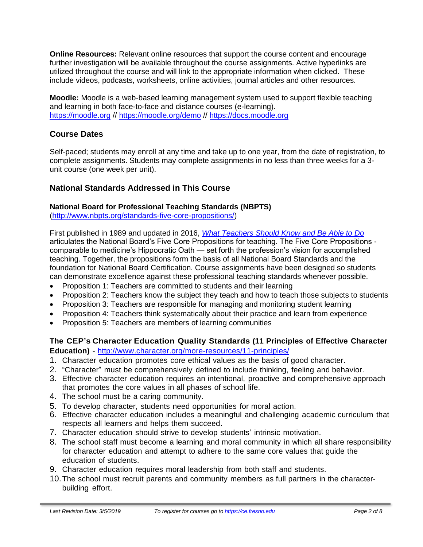**Online Resources:** Relevant online resources that support the course content and encourage further investigation will be available throughout the course assignments. Active hyperlinks are utilized throughout the course and will link to the appropriate information when clicked. These include videos, podcasts, worksheets, online activities, journal articles and other resources.

**Moodle:** Moodle is a web-based learning management system used to support flexible teaching and learning in both face-to-face and distance courses (e-learning). [https://moodle.org](https://moodle.org/) // <https://moodle.org/demo> // [https://docs.moodle.org](https://docs.moodle.org/)

### **Course Dates**

Self-paced; students may enroll at any time and take up to one year, from the date of registration, to complete assignments. Students may complete assignments in no less than three weeks for a 3 unit course (one week per unit).

#### **National Standards Addressed in This Course**

#### **National Board for Professional Teaching Standards (NBPTS)**

[\(http://www.nbpts.org/standards-five-core-propositions/\)](http://www.nbpts.org/standards-five-core-propositions/)

First published in 1989 and updated in 2016, *[What Teachers Should Know and Be Able to Do](http://www.accomplishedteacher.org/)* articulates the National Board's Five Core Propositions for teaching. The Five Core Propositions comparable to medicine's Hippocratic Oath — set forth the profession's vision for accomplished teaching. Together, the propositions form the basis of all National Board Standards and the foundation for National Board Certification. Course assignments have been designed so students can demonstrate excellence against these professional teaching standards whenever possible.

- Proposition 1: Teachers are committed to students and their learning
- Proposition 2: Teachers know the subject they teach and how to teach those subjects to students
- Proposition 3: Teachers are responsible for managing and monitoring student learning
- Proposition 4: Teachers think systematically about their practice and learn from experience
- Proposition 5: Teachers are members of learning communities

#### **The CEP's Character Education Quality Standards (11 Principles of Effective Character Education)** - <http://www.character.org/more-resources/11-principles/>

- 1. Character education promotes core ethical values as the basis of good character.
- 2. "Character" must be comprehensively defined to include thinking, feeling and behavior.
- 3. Effective character education requires an intentional, proactive and comprehensive approach that promotes the core values in all phases of school life.
- 4. The school must be a caring community.
- 5. To develop character, students need opportunities for moral action.
- 6. Effective character education includes a meaningful and challenging academic curriculum that respects all learners and helps them succeed.
- 7. Character education should strive to develop students' intrinsic motivation.
- 8. The school staff must become a learning and moral community in which all share responsibility for character education and attempt to adhere to the same core values that guide the education of students.
- 9. Character education requires moral leadership from both staff and students.
- 10.The school must recruit parents and community members as full partners in the characterbuilding effort.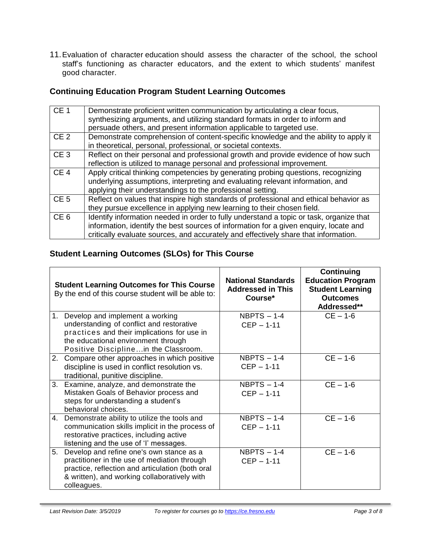11.Evaluation of character education should assess the character of the school, the school staff's functioning as character educators, and the extent to which students' manifest good character.

# **Continuing Education Program Student Learning Outcomes**

| CE <sub>1</sub> | Demonstrate proficient written communication by articulating a clear focus,<br>synthesizing arguments, and utilizing standard formats in order to inform and<br>persuade others, and present information applicable to targeted use.                                    |
|-----------------|-------------------------------------------------------------------------------------------------------------------------------------------------------------------------------------------------------------------------------------------------------------------------|
| CE <sub>2</sub> | Demonstrate comprehension of content-specific knowledge and the ability to apply it<br>in theoretical, personal, professional, or societal contexts.                                                                                                                    |
| CE <sub>3</sub> | Reflect on their personal and professional growth and provide evidence of how such<br>reflection is utilized to manage personal and professional improvement.                                                                                                           |
| CE <sub>4</sub> | Apply critical thinking competencies by generating probing questions, recognizing<br>underlying assumptions, interpreting and evaluating relevant information, and<br>applying their understandings to the professional setting.                                        |
| CE <sub>5</sub> | Reflect on values that inspire high standards of professional and ethical behavior as<br>they pursue excellence in applying new learning to their chosen field.                                                                                                         |
| CE <sub>6</sub> | Identify information needed in order to fully understand a topic or task, organize that<br>information, identify the best sources of information for a given enquiry, locate and<br>critically evaluate sources, and accurately and effectively share that information. |

### **Student Learning Outcomes (SLOs) for This Course**

| <b>Student Learning Outcomes for This Course</b><br>By the end of this course student will be able to: |                                                                                                                                                                                                               | <b>National Standards</b><br><b>Addressed in This</b><br>Course* | Continuing<br><b>Education Program</b><br><b>Student Learning</b><br><b>Outcomes</b><br>Addressed** |
|--------------------------------------------------------------------------------------------------------|---------------------------------------------------------------------------------------------------------------------------------------------------------------------------------------------------------------|------------------------------------------------------------------|-----------------------------------------------------------------------------------------------------|
|                                                                                                        | 1. Develop and implement a working<br>understanding of conflict and restorative<br>practices and their implications for use in<br>the educational environment through<br>Positive Disciplinein the Classroom. | NBPTS $-1-4$<br>$CEP - 1-11$                                     | $CE - 1 - 6$                                                                                        |
| 2.                                                                                                     | Compare other approaches in which positive<br>discipline is used in conflict resolution vs.<br>traditional, punitive discipline.                                                                              | NBPTS $-1-4$<br>$CEP - 1-11$                                     | $CE - 1 - 6$                                                                                        |
| 3.                                                                                                     | Examine, analyze, and demonstrate the<br>Mistaken Goals of Behavior process and<br>steps for understanding a student's<br>behavioral choices.                                                                 | NBPTS $- 1-4$<br>$CEP - 1-11$                                    | $CE - 1-6$                                                                                          |
| 4.                                                                                                     | Demonstrate ability to utilize the tools and<br>communication skills implicit in the process of<br>restorative practices, including active<br>listening and the use of 'I' messages.                          | NBPTS $- 1-4$<br>$CEP - 1-11$                                    | $CE - 1 - 6$                                                                                        |
| 5.                                                                                                     | Develop and refine one's own stance as a<br>practitioner in the use of mediation through<br>practice, reflection and articulation (both oral<br>& written), and working collaboratively with<br>colleagues.   | NBPTS $- 1-4$<br>$CEP - 1-11$                                    | $CE - 1 - 6$                                                                                        |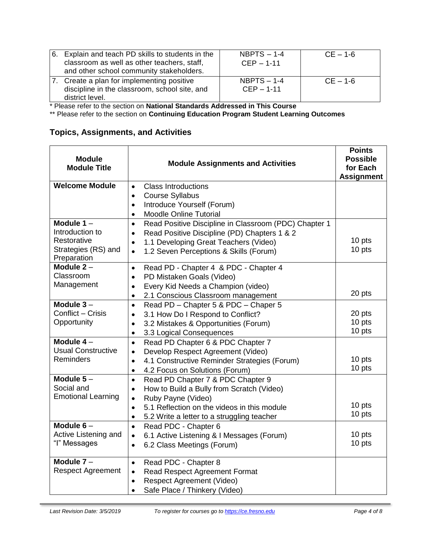| 6. Explain and teach PD skills to students in the<br>classroom as well as other teachers, staff,<br>and other school community stakeholders. | $NBPTS - 1-4$<br>$CEP - 1-11$ | $CE - 1 - 6$ |
|----------------------------------------------------------------------------------------------------------------------------------------------|-------------------------------|--------------|
| 7. Create a plan for implementing positive<br>discipline in the classroom, school site, and<br>district level.                               | $NBPTS - 1-4$<br>$CEP - 1-11$ | $CE - 1 - 6$ |

\* Please refer to the section on **National Standards Addressed in This Course**

\*\* Please refer to the section on **Continuing Education Program Student Learning Outcomes**

### **Topics, Assignments, and Activities**

| <b>Module</b><br><b>Module Title</b> | <b>Module Assignments and Activities</b>                           | <b>Points</b><br><b>Possible</b><br>for Each<br><b>Assignment</b> |
|--------------------------------------|--------------------------------------------------------------------|-------------------------------------------------------------------|
| <b>Welcome Module</b>                | <b>Class Introductions</b><br>$\bullet$                            |                                                                   |
|                                      | <b>Course Syllabus</b><br>$\bullet$                                |                                                                   |
|                                      | Introduce Yourself (Forum)<br>$\bullet$                            |                                                                   |
|                                      | <b>Moodle Online Tutorial</b><br>$\bullet$                         |                                                                   |
| Module $1 -$                         | Read Positive Discipline in Classroom (PDC) Chapter 1<br>$\bullet$ |                                                                   |
| Introduction to                      | Read Positive Discipline (PD) Chapters 1 & 2<br>$\bullet$          |                                                                   |
| Restorative                          | 1.1 Developing Great Teachers (Video)<br>$\bullet$                 | 10 pts                                                            |
| Strategies (RS) and<br>Preparation   | 1.2 Seven Perceptions & Skills (Forum)<br>$\bullet$                | 10 pts                                                            |
| Module $2 -$                         | Read PD - Chapter 4 & PDC - Chapter 4<br>$\bullet$                 |                                                                   |
| Classroom                            | PD Mistaken Goals (Video)<br>$\bullet$                             |                                                                   |
| Management                           | Every Kid Needs a Champion (video)<br>$\bullet$                    |                                                                   |
|                                      | 2.1 Conscious Classroom management<br>$\bullet$                    | 20 pts                                                            |
| Module $3-$                          | Read PD - Chapter 5 & PDC - Chaper 5<br>$\bullet$                  |                                                                   |
| Conflict - Crisis                    | 3.1 How Do I Respond to Conflict?<br>$\bullet$                     | 20 pts                                                            |
| Opportunity                          | 3.2 Mistakes & Opportunities (Forum)<br>$\bullet$                  | 10 pts                                                            |
|                                      | 3.3 Logical Consequences<br>$\bullet$                              | 10 pts                                                            |
| Module $4-$                          | Read PD Chapter 6 & PDC Chapter 7<br>$\bullet$                     |                                                                   |
| <b>Usual Constructive</b>            | Develop Respect Agreement (Video)<br>$\bullet$                     |                                                                   |
| Reminders                            | 4.1 Constructive Reminder Strategies (Forum)<br>$\bullet$          | 10 pts                                                            |
|                                      | 4.2 Focus on Solutions (Forum)<br>$\bullet$                        | 10 pts                                                            |
| Module $5-$                          | Read PD Chapter 7 & PDC Chapter 9<br>$\bullet$                     |                                                                   |
| Social and                           | How to Build a Bully from Scratch (Video)<br>$\bullet$             |                                                                   |
| <b>Emotional Learning</b>            | Ruby Payne (Video)<br>$\bullet$                                    |                                                                   |
|                                      | 5.1 Reflection on the videos in this module<br>$\bullet$           | 10 pts                                                            |
|                                      | 5.2 Write a letter to a struggling teacher<br>$\bullet$            | 10 pts                                                            |
| Module $6-$                          | Read PDC - Chapter 6<br>$\bullet$                                  |                                                                   |
| Active Listening and                 | 6.1 Active Listening & I Messages (Forum)<br>$\bullet$             | 10 pts                                                            |
| "I" Messages                         | 6.2 Class Meetings (Forum)<br>$\bullet$                            | 10 pts                                                            |
| Module $7 -$                         | Read PDC - Chapter 8<br>$\bullet$                                  |                                                                   |
| <b>Respect Agreement</b>             | Read Respect Agreement Format<br>$\bullet$                         |                                                                   |
|                                      | <b>Respect Agreement (Video)</b><br>$\bullet$                      |                                                                   |
|                                      | Safe Place / Thinkery (Video)<br>$\bullet$                         |                                                                   |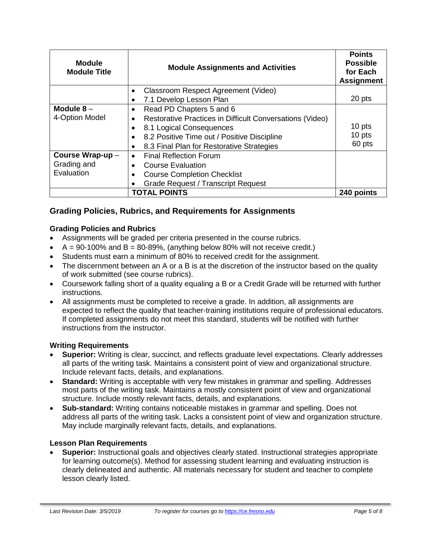| <b>Module</b><br><b>Module Title</b> | <b>Module Assignments and Activities</b>                 | <b>Points</b><br><b>Possible</b><br>for Each<br><b>Assignment</b> |
|--------------------------------------|----------------------------------------------------------|-------------------------------------------------------------------|
|                                      | Classroom Respect Agreement (Video)<br>$\bullet$         |                                                                   |
|                                      | 7.1 Develop Lesson Plan                                  | 20 pts                                                            |
| Module $8-$                          | Read PD Chapters 5 and 6<br>$\bullet$                    |                                                                   |
| 4-Option Model                       | Restorative Practices in Difficult Conversations (Video) |                                                                   |
|                                      | 8.1 Logical Consequences                                 | 10 pts                                                            |
|                                      | 8.2 Positive Time out / Positive Discipline<br>$\bullet$ | 10 pts                                                            |
|                                      | 8.3 Final Plan for Restorative Strategies<br>$\bullet$   | 60 pts                                                            |
| Course Wrap-up -                     | <b>Final Reflection Forum</b><br>$\bullet$               |                                                                   |
| Grading and                          | <b>Course Evaluation</b>                                 |                                                                   |
| Evaluation                           | <b>Course Completion Checklist</b>                       |                                                                   |
|                                      | <b>Grade Request / Transcript Request</b>                |                                                                   |
|                                      | <b>TOTAL POINTS</b>                                      | 240 points                                                        |

### **Grading Policies, Rubrics, and Requirements for Assignments**

#### **Grading Policies and Rubrics**

- Assignments will be graded per criteria presented in the course rubrics.
- $A = 90-100\%$  and  $B = 80-89\%$ , (anything below 80% will not receive credit.)
- Students must earn a minimum of 80% to received credit for the assignment.
- The discernment between an A or a B is at the discretion of the instructor based on the quality of work submitted (see course rubrics).
- Coursework falling short of a quality equaling a B or a Credit Grade will be returned with further instructions.
- All assignments must be completed to receive a grade. In addition, all assignments are expected to reflect the quality that teacher-training institutions require of professional educators. If completed assignments do not meet this standard, students will be notified with further instructions from the instructor.

#### **Writing Requirements**

- **Superior:** Writing is clear, succinct, and reflects graduate level expectations. Clearly addresses all parts of the writing task. Maintains a consistent point of view and organizational structure. Include relevant facts, details, and explanations.
- **Standard:** Writing is acceptable with very few mistakes in grammar and spelling. Addresses most parts of the writing task. Maintains a mostly consistent point of view and organizational structure. Include mostly relevant facts, details, and explanations.
- **Sub-standard:** Writing contains noticeable mistakes in grammar and spelling. Does not address all parts of the writing task. Lacks a consistent point of view and organization structure. May include marginally relevant facts, details, and explanations.

#### **Lesson Plan Requirements**

• **Superior:** Instructional goals and objectives clearly stated. Instructional strategies appropriate for learning outcome(s). Method for assessing student learning and evaluating instruction is clearly delineated and authentic. All materials necessary for student and teacher to complete lesson clearly listed.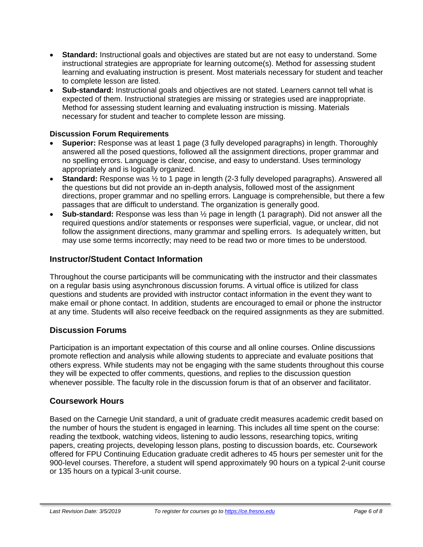- **Standard:** Instructional goals and objectives are stated but are not easy to understand. Some instructional strategies are appropriate for learning outcome(s). Method for assessing student learning and evaluating instruction is present. Most materials necessary for student and teacher to complete lesson are listed.
- **Sub-standard:** Instructional goals and objectives are not stated. Learners cannot tell what is expected of them. Instructional strategies are missing or strategies used are inappropriate. Method for assessing student learning and evaluating instruction is missing. Materials necessary for student and teacher to complete lesson are missing.

#### **Discussion Forum Requirements**

- **Superior:** Response was at least 1 page (3 fully developed paragraphs) in length. Thoroughly answered all the posed questions, followed all the assignment directions, proper grammar and no spelling errors. Language is clear, concise, and easy to understand. Uses terminology appropriately and is logically organized.
- **Standard:** Response was ½ to 1 page in length (2-3 fully developed paragraphs). Answered all the questions but did not provide an in-depth analysis, followed most of the assignment directions, proper grammar and no spelling errors. Language is comprehensible, but there a few passages that are difficult to understand. The organization is generally good.
- **Sub-standard:** Response was less than ½ page in length (1 paragraph). Did not answer all the required questions and/or statements or responses were superficial, vague, or unclear, did not follow the assignment directions, many grammar and spelling errors. Is adequately written, but may use some terms incorrectly; may need to be read two or more times to be understood.

#### **Instructor/Student Contact Information**

Throughout the course participants will be communicating with the instructor and their classmates on a regular basis using asynchronous discussion forums. A virtual office is utilized for class questions and students are provided with instructor contact information in the event they want to make email or phone contact. In addition, students are encouraged to email or phone the instructor at any time. Students will also receive feedback on the required assignments as they are submitted.

#### **Discussion Forums**

Participation is an important expectation of this course and all online courses. Online discussions promote reflection and analysis while allowing students to appreciate and evaluate positions that others express. While students may not be engaging with the same students throughout this course they will be expected to offer comments, questions, and replies to the discussion question whenever possible. The faculty role in the discussion forum is that of an observer and facilitator.

#### **Coursework Hours**

Based on the Carnegie Unit standard, a unit of graduate credit measures academic credit based on the number of hours the student is engaged in learning. This includes all time spent on the course: reading the textbook, watching videos, listening to audio lessons, researching topics, writing papers, creating projects, developing lesson plans, posting to discussion boards, etc. Coursework offered for FPU Continuing Education graduate credit adheres to 45 hours per semester unit for the 900-level courses. Therefore, a student will spend approximately 90 hours on a typical 2-unit course or 135 hours on a typical 3-unit course.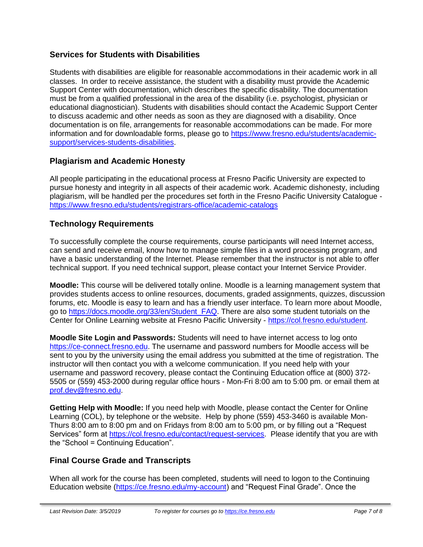#### **Services for Students with Disabilities**

Students with disabilities are eligible for reasonable accommodations in their academic work in all classes. In order to receive assistance, the student with a disability must provide the Academic Support Center with documentation, which describes the specific disability. The documentation must be from a qualified professional in the area of the disability (i.e. psychologist, physician or educational diagnostician). Students with disabilities should contact the Academic Support Center to discuss academic and other needs as soon as they are diagnosed with a disability. Once documentation is on file, arrangements for reasonable accommodations can be made. For more information and for downloadable forms, please go to [https://www.fresno.edu/students/academic](https://www.fresno.edu/students/academic-support/services-students-disabilities)[support/services-students-disabilities.](https://www.fresno.edu/students/academic-support/services-students-disabilities)

#### **Plagiarism and Academic Honesty**

All people participating in the educational process at Fresno Pacific University are expected to pursue honesty and integrity in all aspects of their academic work. Academic dishonesty, including plagiarism, will be handled per the procedures set forth in the Fresno Pacific University Catalogue <https://www.fresno.edu/students/registrars-office/academic-catalogs>

#### **Technology Requirements**

To successfully complete the course requirements, course participants will need Internet access, can send and receive email, know how to manage simple files in a word processing program, and have a basic understanding of the Internet. Please remember that the instructor is not able to offer technical support. If you need technical support, please contact your Internet Service Provider.

**Moodle:** This course will be delivered totally online. Moodle is a learning management system that provides students access to online resources, documents, graded assignments, quizzes, discussion forums, etc. Moodle is easy to learn and has a friendly user interface. To learn more about Moodle, go to [https://docs.moodle.org/33/en/Student\\_FAQ.](https://docs.moodle.org/33/en/Student_FAQ) There are also some student tutorials on the Center for Online Learning website at Fresno Pacific University - [https://col.fresno.edu/student.](https://col.fresno.edu/student)

**Moodle Site Login and Passwords:** Students will need to have internet access to log onto [https://ce-connect.fresno.edu.](https://ce-connect.fresno.edu/) The username and password numbers for Moodle access will be sent to you by the university using the email address you submitted at the time of registration. The instructor will then contact you with a welcome communication. If you need help with your username and password recovery, please contact the Continuing Education office at (800) 372- 5505 or (559) 453-2000 during regular office hours - Mon-Fri 8:00 am to 5:00 pm. or email them at [prof.dev@fresno.edu.](mailto:prof.dev@fresno.edu)

**Getting Help with Moodle:** If you need help with Moodle, please contact the Center for Online Learning (COL), by telephone or the website. Help by phone (559) 453-3460 is available Mon-Thurs 8:00 am to 8:00 pm and on Fridays from 8:00 am to 5:00 pm, or by filling out a "Request Services" form at [https://col.fresno.edu/contact/request-services.](https://col.fresno.edu/contact/request-services) Please identify that you are with the "School = Continuing Education".

#### **Final Course Grade and Transcripts**

When all work for the course has been completed, students will need to logon to the Continuing Education website [\(https://ce.fresno.edu/my-account\)](https://ce.fresno.edu/my-account) and "Request Final Grade". Once the